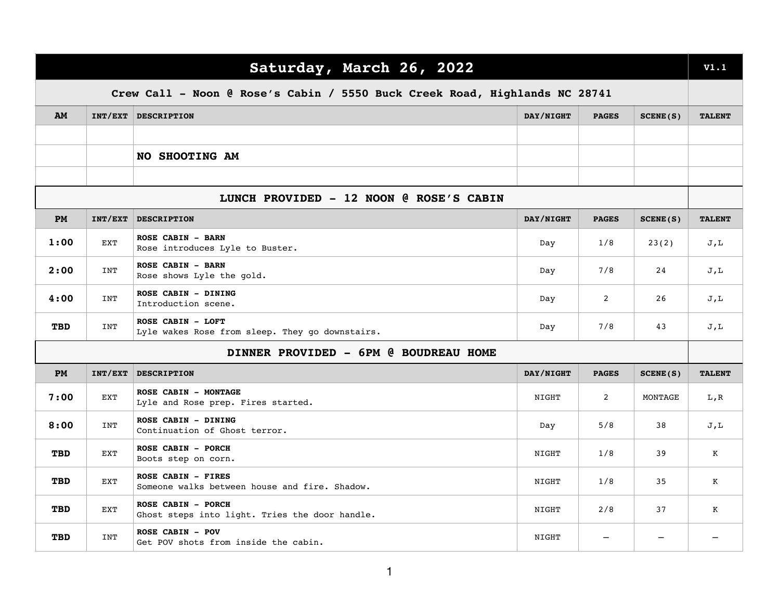| Saturday, March 26, 2022                                                   |            |                                                                      |           |              |          | V1.1          |
|----------------------------------------------------------------------------|------------|----------------------------------------------------------------------|-----------|--------------|----------|---------------|
| Crew Call - Noon @ Rose's Cabin / 5550 Buck Creek Road, Highlands NC 28741 |            |                                                                      |           |              |          |               |
| AM                                                                         |            | INT/EXT DESCRIPTION                                                  | DAY/NIGHT | <b>PAGES</b> | SCENE(S) | <b>TALENT</b> |
|                                                                            |            |                                                                      |           |              |          |               |
|                                                                            |            | NO SHOOTING AM                                                       |           |              |          |               |
|                                                                            |            |                                                                      |           |              |          |               |
| LUNCH PROVIDED - 12 NOON @ ROSE'S CABIN                                    |            |                                                                      |           |              |          |               |
| <b>PM</b>                                                                  | INT/EXT    | <b>DESCRIPTION</b>                                                   | DAY/NIGHT | <b>PAGES</b> | SCENE(S) | <b>TALENT</b> |
| 1:00                                                                       | EXT        | ROSE CABIN - BARN<br>Rose introduces Lyle to Buster.                 | Day       | 1/8          | 23(2)    | J,L           |
| 2:00                                                                       | INT        | <b>ROSE CABIN - BARN</b><br>Rose shows Lyle the gold.                | Day       | 7/8          | 24       | J,L           |
| 4:00                                                                       | INT        | ROSE CABIN - DINING<br>Introduction scene.                           | Day       | 2            | 26       | J,L           |
| <b>TBD</b>                                                                 | INT        | ROSE CABIN - LOFT<br>Lyle wakes Rose from sleep. They go downstairs. | Day       | 7/8          | 43       | J,L           |
| DINNER PROVIDED - 6PM @ BOUDREAU HOME                                      |            |                                                                      |           |              |          |               |
| PM                                                                         | INT/EXT    | <b>DESCRIPTION</b>                                                   | DAY/NIGHT | <b>PAGES</b> | SCENE(S) | <b>TALENT</b> |
| 7:00                                                                       | <b>EXT</b> | ROSE CABIN - MONTAGE<br>Lyle and Rose prep. Fires started.           | NIGHT     | 2            | MONTAGE  | L,R           |
| 8:00                                                                       | INT        | ROSE CABIN - DINING<br>Continuation of Ghost terror.                 | Day       | 5/8          | 38       | J,L           |
| <b>TBD</b>                                                                 | EXT        | ROSE CABIN - PORCH<br>Boots step on corn.                            | NIGHT     | 1/8          | 39       | Κ             |
| <b>TBD</b>                                                                 | EXT        | ROSE CABIN - FIRES<br>Someone walks between house and fire. Shadow.  | NIGHT     | 1/8          | 35       | К             |
| <b>TBD</b>                                                                 | EXT        | ROSE CABIN - PORCH<br>Ghost steps into light. Tries the door handle. | NIGHT     | 2/8          | 37       | К             |
| <b>TBD</b>                                                                 | INT        | <b>ROSE CABIN - POV</b><br>Get POV shots from inside the cabin.      | NIGHT     |              |          |               |